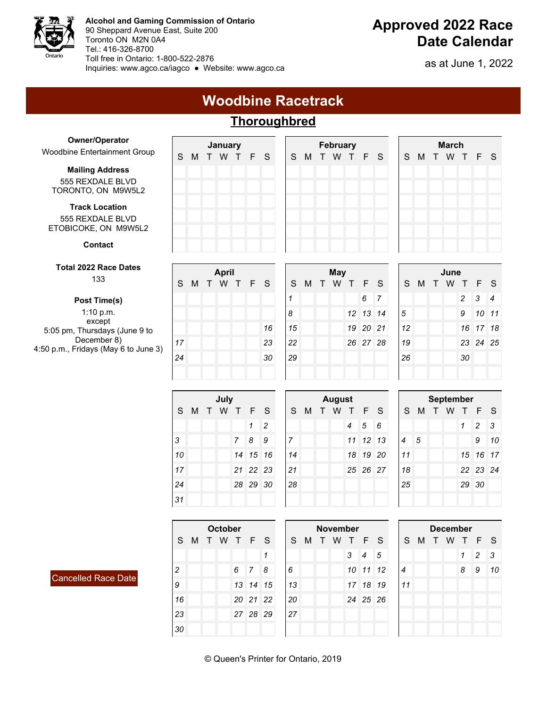

**Alcohol and Gaming Commission of Ontario** 90 Sheppard Avenue East, Suite 200 Toronto ON M2N 0A4 Tel.: 416-326-8700 Toll free in Ontario: 1-800-522-2876 Inquiries: <www.agco.ca/iagco>● Website: <www.agco.ca>

## **Approved 2022 Race Date Calendar**

as at June 1, 2022

### **Woodbine Racetrack**

# **Thoroughbred**

| <b>Owner/Operator</b>                                             |                |   | January       |                |                |                              |                |   | <b>February</b> |                |           |                |                |   | <b>March</b>    |                  |                              |                |
|-------------------------------------------------------------------|----------------|---|---------------|----------------|----------------|------------------------------|----------------|---|-----------------|----------------|-----------|----------------|----------------|---|-----------------|------------------|------------------------------|----------------|
| Woodbine Entertainment Group                                      | S              | M | T W T F       |                |                | S                            | S              | M | T W T F         |                |           | S              | S              | M | T W T           |                  | F                            | S              |
| <b>Mailing Address</b><br>555 REXDALE BLVD<br>TORONTO, ON M9W5L2  |                |   |               |                |                |                              |                |   |                 |                |           |                |                |   |                 |                  |                              |                |
| <b>Track Location</b><br>555 REXDALE BLVD<br>ETOBICOKE, ON M9W5L2 |                |   |               |                |                |                              |                |   |                 |                |           |                |                |   |                 |                  |                              |                |
| <b>Contact</b>                                                    |                |   |               |                |                |                              |                |   |                 |                |           |                |                |   |                 |                  |                              |                |
| <b>Total 2022 Race Dates</b>                                      |                |   | <b>April</b>  |                |                |                              |                |   | <b>May</b>      |                |           |                |                |   | June            |                  |                              |                |
| 133                                                               | S              | M | T W T F S     |                |                |                              | S              | M | T W T           |                | F         | S              | S              | M | T W T           |                  | F                            | S              |
| Post Time(s)                                                      |                |   |               |                |                |                              | 1              |   |                 |                | 6         | $\overline{7}$ |                |   |                 | $\overline{c}$   | 3                            | 4              |
| 1:10 p.m.                                                         |                |   |               |                |                |                              | 8              |   |                 | 12             | 13        | 14             | $\sqrt{5}$     |   |                 | 9                | 10                           | 11             |
| except<br>5:05 pm, Thursdays (June 9 to                           |                |   |               |                |                | 16                           | 15             |   |                 | 19             | 20        | 21             | 12             |   |                 | 16               | 17                           | 18             |
| December 8)                                                       | 17             |   |               |                |                | 23                           | 22             |   |                 |                | 26 27 28  |                | 19             |   |                 |                  | 23 24                        | 25             |
| 4:50 p.m., Fridays (May 6 to June 3)                              | 24             |   |               |                |                | 30                           | 29             |   |                 |                |           |                | 26             |   |                 | 30               |                              |                |
|                                                                   |                |   |               |                |                |                              |                |   |                 |                |           |                |                |   |                 |                  |                              |                |
|                                                                   |                |   |               |                |                |                              |                |   |                 |                |           |                |                |   |                 |                  |                              |                |
|                                                                   |                |   |               |                |                |                              |                |   |                 |                |           |                |                |   |                 |                  |                              |                |
|                                                                   |                |   | July          |                |                |                              |                |   | <b>August</b>   |                |           |                |                |   |                 | <b>September</b> |                              |                |
|                                                                   | S              | M | T W T         |                | F<br>1         | S                            | S              | M | T W T           | 4              | F         | S<br>6         | S              |   | M T W T F       | 1                |                              | S              |
|                                                                   | 3              |   |               | $\overline{7}$ | 8              | $\overline{\mathbf{c}}$<br>9 | $\overline{7}$ |   |                 | 11             | 5<br>12   | 13             | $\overline{4}$ | 5 |                 |                  | $\overline{\mathbf{c}}$<br>9 | 3<br>10        |
|                                                                   | 10             |   |               | 14             | 15             | 16                           | 14             |   |                 | 18             | <b>19</b> | 20             | 11             |   |                 |                  | 15 16                        | 17             |
|                                                                   | 17             |   |               | 21             | 22             | 23                           | 21             |   |                 |                | 25 26 27  |                | 18             |   |                 | 22               | 23                           | 24             |
|                                                                   | 24             |   |               | 28             |                | 29 30                        | 28             |   |                 |                |           |                | 25             |   |                 |                  | 29 30                        |                |
|                                                                   | 31             |   |               |                |                |                              |                |   |                 |                |           |                |                |   |                 |                  |                              |                |
|                                                                   |                |   |               |                |                |                              |                |   |                 |                |           |                |                |   |                 |                  |                              |                |
|                                                                   |                |   | October       |                |                |                              |                |   | <b>November</b> |                |           |                |                |   | <b>December</b> |                  |                              |                |
|                                                                   |                |   | S M T W T F S |                |                |                              |                |   | S M T W T F     |                |           | S              |                |   | S M T W T       |                  | F                            | S              |
|                                                                   |                |   |               |                |                | $\mathcal I$                 |                |   |                 | 3 <sup>1</sup> | 4         | $\sqrt{5}$     |                |   |                 | $\mathbf{1}$     | $\overline{c}$               | $\mathfrak{Z}$ |
| Cancelled Race Date                                               | $\overline{c}$ |   |               | 6 <sup>1</sup> | $\overline{7}$ | $\boldsymbol{8}$             | 6              |   |                 |                | 10 11 12  |                | $\overline{4}$ |   |                 | 8                | 9                            | $10\,$         |
|                                                                   | 9              |   |               |                | 13 14 15       |                              | 13             |   |                 |                | 17 18 19  |                | 11             |   |                 |                  |                              |                |
|                                                                   | 16             |   |               |                | 20 21 22       |                              | 20             |   |                 |                | 24 25 26  |                |                |   |                 |                  |                              |                |
|                                                                   | 23<br>30       |   |               |                | 27 28 29       |                              | 27             |   |                 |                |           |                |                |   |                 |                  |                              |                |

© Queen's Printer for Ontario, 2019